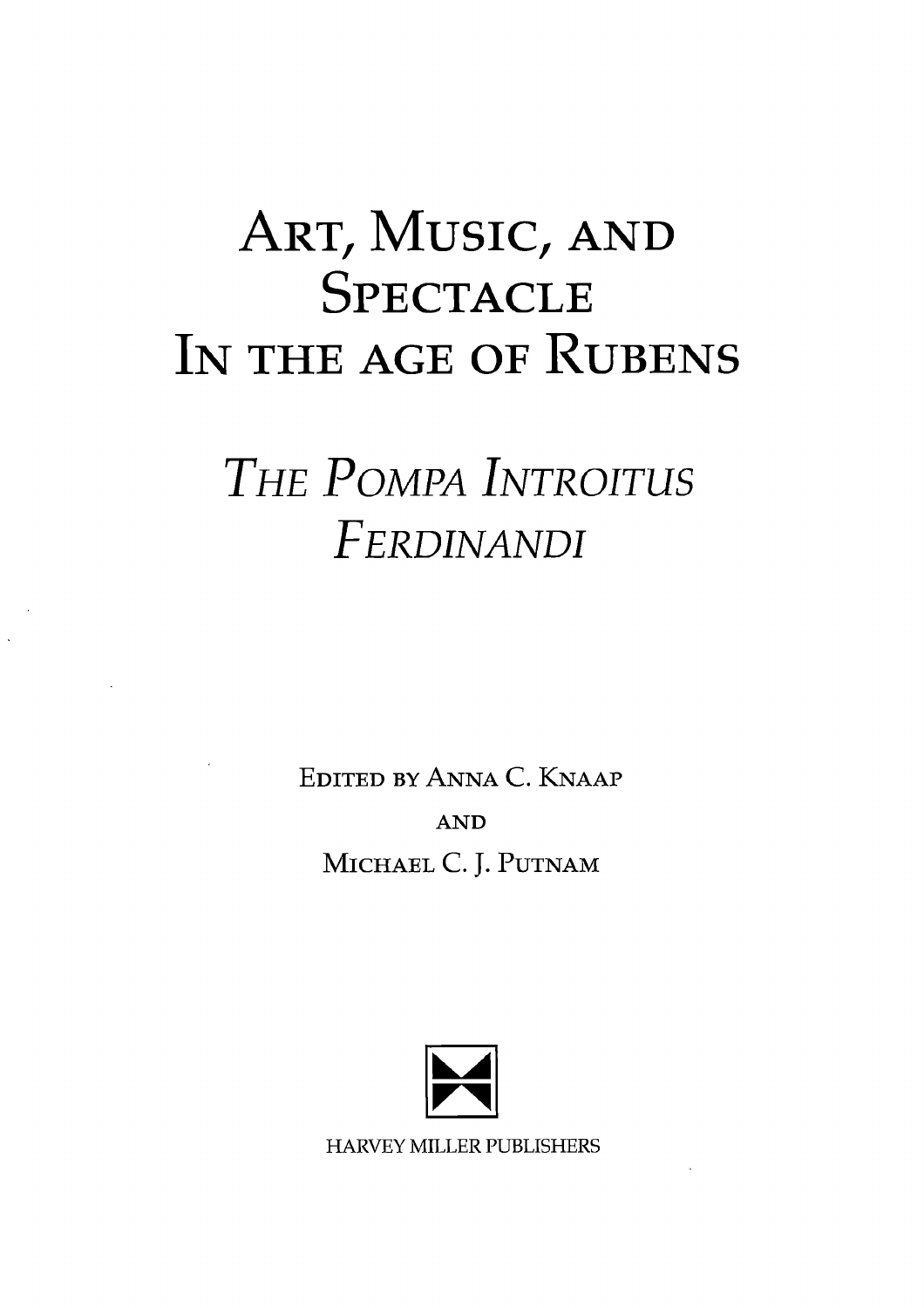## **ART, MUSIC, AND SPECTACLE IN THE AGE OF RUBENS**

## *THE POMPA INTROITUS FERDINANDI*

**EDITED BY ANNA C. KNAAP AND MICHAEL C. J. PUTNAM** 



HARVEY MILLER PUBLISHERS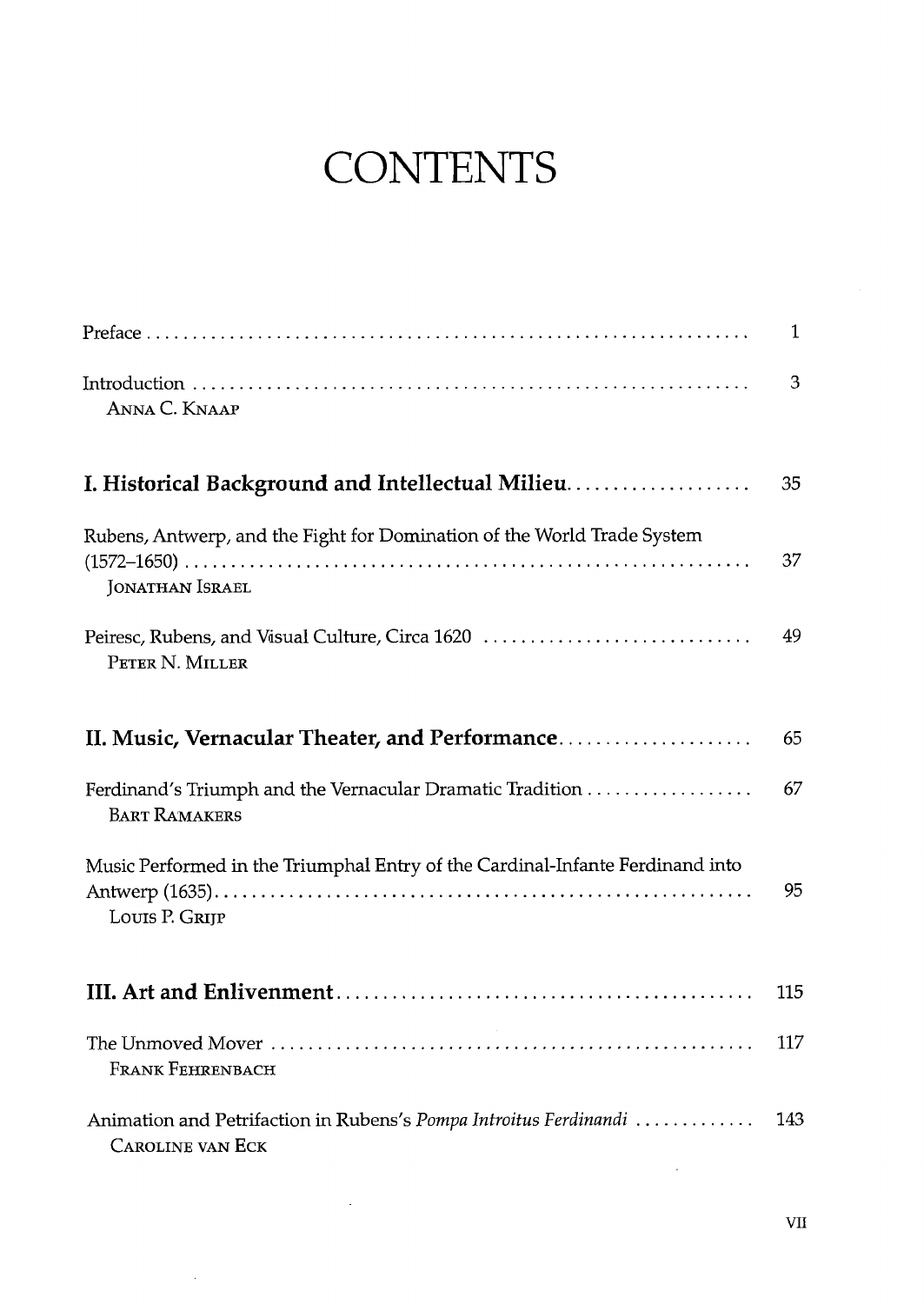## **CONTENTS**

|                                                                                                 | 1    |
|-------------------------------------------------------------------------------------------------|------|
| ANNA C. KNAAP                                                                                   | 3    |
| I. Historical Background and Intellectual Milieu                                                | 35   |
| Rubens, Antwerp, and the Fight for Domination of the World Trade System<br>JONATHAN ISRAEL      | 37   |
| Peiresc, Rubens, and Visual Culture, Circa 1620<br>PETER N. MILLER                              | 49   |
| II. Music, Vernacular Theater, and Performance                                                  | 65   |
| <b>BART RAMAKERS</b>                                                                            | 67   |
| Music Performed in the Triumphal Entry of the Cardinal-Infante Ferdinand into<br>LOUIS P. GRIJP | 95   |
|                                                                                                 | 115  |
| <b>FRANK FEHRENBACH</b>                                                                         | 117  |
| Animation and Petrifaction in Rubens's Pompa Introitus Ferdinandi<br><b>CAROLINE VAN ECK</b>    | 143. |

 $\sim$ 

 $\sim 10$ 

 $\sim$